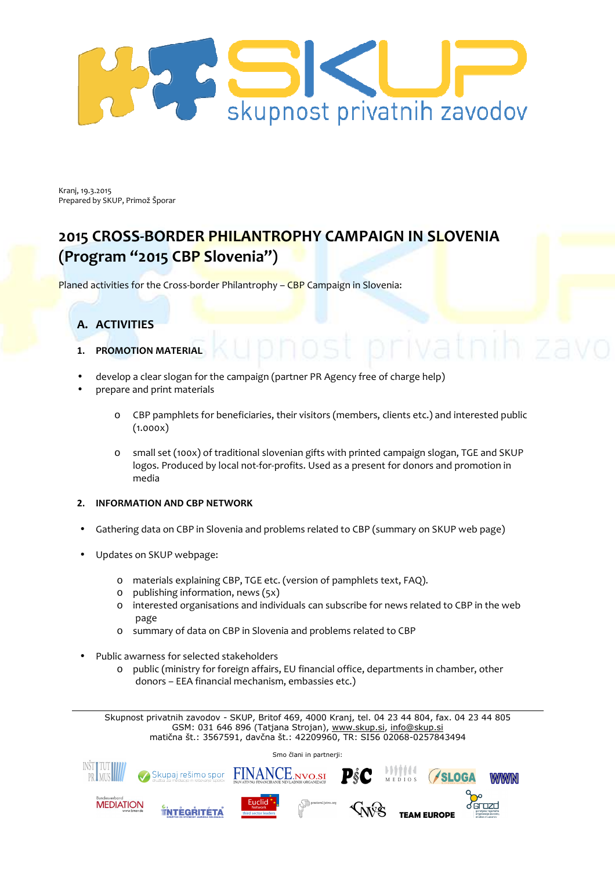

Kranj, 19.3.2015 Prepared by SKUP, Primož Šporar

# **2015 CROSS-BORDER PHILANTROPHY CAMPAIGN IN SLOVENIA (Program "2015 CBP Slovenia")**

Planed activities for the Cross-border Philantrophy - CBP Campaign in Slovenia:

# **A. ACTIVITIES**

- **1. PROMOTION MATERIAL**
- develop a clear slogan for the campaign (partner PR Agency free of charge help)
- prepare and print materials
	- o CBP pamphlets for beneficiaries, their visitors (members, clients etc.) and interested public  $(1.000x)$
	- o small set (100x) of traditional slovenian gifts with printed campaign slogan, TGE and SKUP logos. Produced by local not-for-profits. Used as a present for donors and promotion in media
- **2. INFORMATION AND CBP NETWORK**
- Gathering data on CBP in Slovenia and problems related to CBP (summary on SKUP web page)
- Updates on SKUP webpage:
	- o materials explaining CBP, TGE etc. (version of pamphlets text, FAQ).
	- o publishing information, news (5x)
	- o interested organisations and individuals can subscribe for news related to CBP in the web page
	- o summary of data on CBP in Slovenia and problems related to CBP
- Public awarness for selected stakeholders
	- o public (ministry for foreign affairs, EU financial office, departments in chamber, other donors – EEA financial mechanism, embassies etc.)

Skupnost privatnih zavodov - SKUP, Britof 469, 4000 Kranj, tel. 04 23 44 804, fax. 04 23 44 805 GSM: 031 646 896 (Tatjana Strojan), www.skup.si, info@skup.si matična št.: 3567591, davčna št.: 42209960, TR: SI56 02068-0257843494

Smo člani in partnerii: FINANCE.NVO.SI Skupaj rešimo spor **TEAM EUROPE ANTEGRITETA EUGLIST EUGLIST TEAM EUROPE**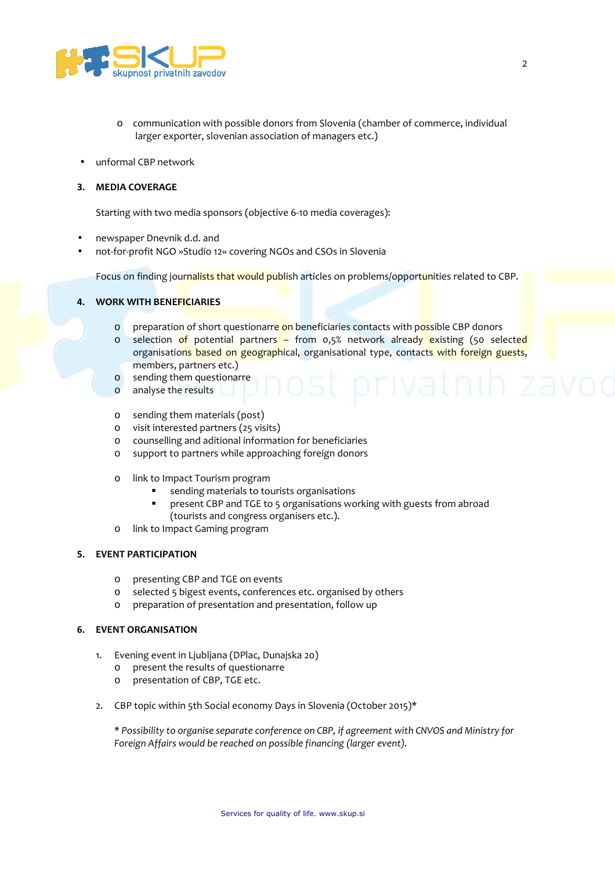

- o communication with possible donors from Slovenia (chamber of commerce, individual larger exporter, slovenian association of managers etc.)
- unformal CBP network

### **3. MEDIA COVERAGE**

Starting with two media sponsors (objective 6-10 media coverages):

- newspaper Dnevnik d.d. and
- not-for-profit NGO »Studio 12« covering NGOs and CSOs in Slovenia

Focus on finding journalists that would publish articles on problems/opportunities related to CBP.

### **4. WORK WITH BENEFICIARIES**

- o preparation of short questionarre on beneficiaries contacts with possible CBP donors
- o selection of potential partners from 0,5% network already existing (50 selected organisations based on geographical, organisational type, contacts with foreign guests, members, partners etc.)
- o sending them questionarre
- o analyse the results
- o sending them materials (post)
- o visit interested partners (25 visits)
- o counselling and aditional information for beneficiaries
- o support to partners while approaching foreign donors
- o link to Impact Tourism program
	- sending materials to tourists organisations
	- present CBP and TGE to 5 organisations working with guests from abroad (tourists and congress organisers etc.).
- o link to Impact Gaming program

### **5. EVENT PARTICIPATION**

- o presenting CBP and TGE on events
- o selected 5 bigest events, conferences etc. organised by others
- o preparation of presentation and presentation, follow up

### **6. EVENT ORGANISATION**

- 1. Evening event in Ljubljana (DPlac, Dunajska 20)
	- o present the results of questionarre
	- o presentation of CBP, TGE etc.
- 2. CBP topic within 5th Social economy Days in Slovenia (October 2015)\*

*\* Possibility to organise separate conference on CBP, if agreement with CNVOS and Ministry for Foreign Affairs would be reached on possible financing (larger event).*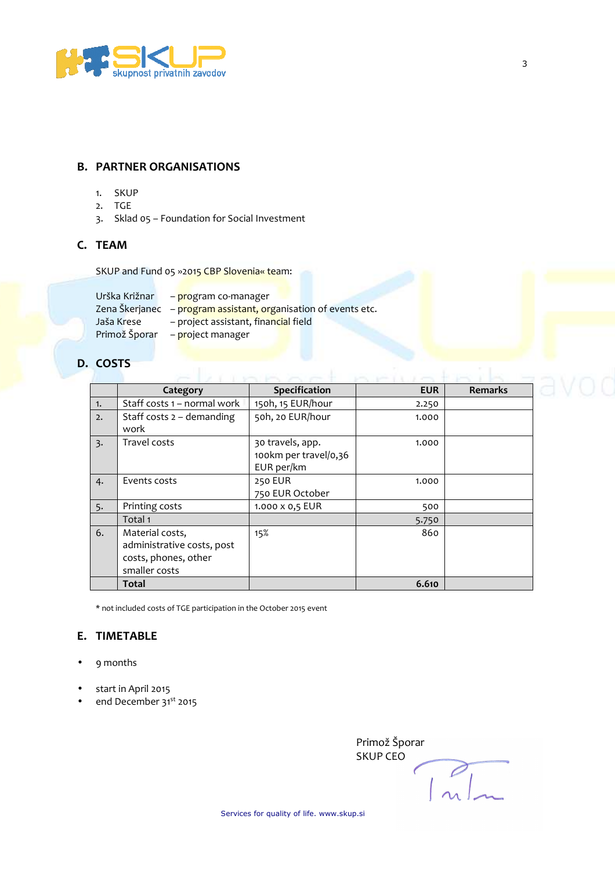

# **B. PARTNER ORGANISATIONS**

- 1. SKUP
- 2. TGE
- 3. Sklad 05 Foundation for Social Investment

## **C. TEAM**

SKUP and Fund 05 »2015 CBP Slovenia« team:

| Urška Križnar | - program co-manager                                            |  |  |
|---------------|-----------------------------------------------------------------|--|--|
|               | Zena Škerjanec - program assistant, organisation of events etc. |  |  |
| Jaša Krese    | - project assistant, financial field                            |  |  |
| Primož Šporar | - project manager                                               |  |  |

# **D. COSTS**

|                  | Category                                                                               | Specification                                           | <b>EUR</b> | <b>Remarks</b> |
|------------------|----------------------------------------------------------------------------------------|---------------------------------------------------------|------------|----------------|
| $\overline{1}$ . | Staff costs 1 – normal work                                                            | 150h, 15 EUR/hour                                       | 2.250      |                |
| 2.               | Staff costs $2 -$ demanding<br>work                                                    | 50h, 20 EUR/hour                                        | 1.000      |                |
| $\overline{3}$ . | Travel costs                                                                           | 30 travels, app.<br>100km per travel/0,36<br>EUR per/km | 1.000      |                |
| 4.               | Events costs                                                                           | 250 EUR<br>750 EUR October                              | 1.000      |                |
| 5.               | Printing costs                                                                         | 1.000 x 0,5 EUR                                         | 500        |                |
|                  | Total 1                                                                                |                                                         | 5.750      |                |
| 6.               | Material costs,<br>administrative costs, post<br>costs, phones, other<br>smaller costs | 15%                                                     | 860        |                |
|                  | <b>Total</b>                                                                           |                                                         | 6.610      |                |

\* not included costs of TGE participation in the October 2015 event

### **E. TIMETABLE**

- 9 months
- start in April 2015
- end December 31<sup>st</sup> 2015

Primož Šporar SKUP CEO  $\sqrt{\frac{2}{n}}$  $\sqrt{2}$ 

Services for quality of life. www.skup.si